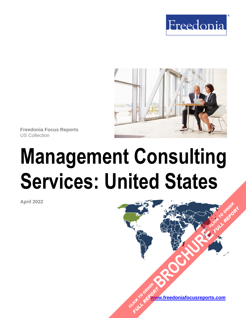



**Freedonia Focus Reports** US Collection

# **Management Consulting Services: United States**

**April 2022**

**[www.freedoniafocusreports.com](https://www.freedoniafocusreports.com/redirect.asp?progid=89534&url=/)** CLICK TO ORDER **FULL REPORT** 

**[BROCHURE](https://www.freedoniafocusreports.com/Management-Consulting-Services-United-States-FF95037/?progid=89541) CLICK TO ORDER** 

**FULL REPORT**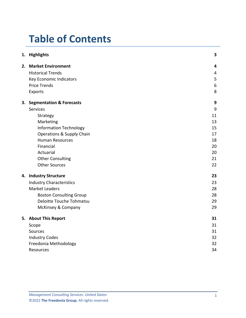# **Table of Contents**

|  | 1. Highlights                        | 3                       |
|--|--------------------------------------|-------------------------|
|  | 2. Market Environment                | $\overline{\mathbf{4}}$ |
|  | <b>Historical Trends</b>             | $\overline{4}$          |
|  | Key Economic Indicators              | 5                       |
|  | <b>Price Trends</b>                  | $\boldsymbol{6}$        |
|  | <b>Exports</b>                       | 8                       |
|  | 3. Segmentation & Forecasts          | 9                       |
|  | <b>Services</b>                      | 9                       |
|  | Strategy                             | 11                      |
|  | Marketing                            | 13                      |
|  | <b>Information Technology</b>        | 15                      |
|  | <b>Operations &amp; Supply Chain</b> | 17                      |
|  | <b>Human Resources</b>               | 18                      |
|  | Financial                            | 20                      |
|  | Actuarial                            | 20                      |
|  | <b>Other Consulting</b>              | 21                      |
|  | <b>Other Sources</b>                 | 22                      |
|  | 4. Industry Structure                | 23                      |
|  | <b>Industry Characteristics</b>      | 23                      |
|  | <b>Market Leaders</b>                | 28                      |
|  | <b>Boston Consulting Group</b>       | 28                      |
|  | Deloitte Touche Tohmatsu             | 29                      |
|  | McKinsey & Company                   | 29                      |
|  | 5. About This Report                 | 31                      |
|  | Scope                                | 31                      |
|  | Sources                              | 31                      |
|  | <b>Industry Codes</b>                | 32                      |
|  | Freedonia Methodology                | 32                      |
|  | Resources                            | 34                      |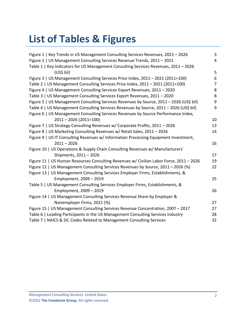# **List of Tables & Figures**

| Figure 1   Key Trends in US Management Consulting Services Revenues, 2021 - 2026        | 3              |
|-----------------------------------------------------------------------------------------|----------------|
| Figure 2   US Management Consulting Services Revenue Trends, 2011 - 2021                | 4              |
| Table 1   Key Indicators for US Management Consulting Services Revenues, 2011 - 2026    |                |
| (US\$ bil)                                                                              | 5              |
| Figure 3   US Management Consulting Services Price Index, 2011 - 2021 (2011=100)        | 6              |
| Table 2   US Management Consulting Services Price Index, 2011 - 2021 (2011=100)         | $\overline{7}$ |
| Figure 4   US Management Consulting Services Export Revenues, 2011 - 2020               | 8              |
| Table 3   US Management Consulting Services Export Revenues, 2011 - 2020                | 8              |
| Figure 5   US Management Consulting Services Revenues by Source, 2011 - 2026 (US\$ bil) | 9              |
| Table 4   US Management Consulting Services Revenues by Source, 2011 - 2026 (US\$ bil)  | 9              |
| Figure 6   US Management Consulting Services Revenues by Source Performance Index,      |                |
| $2011 - 2026$ (2011=100)                                                                | 10             |
| Figure 7   US Strategy Consulting Revenues w/ Corporate Profits, 2011 - 2026            | 13             |
| Figure 8   US Marketing Consulting Revenues w/ Retail Sales, 2011 - 2026                | 14             |
| Figure 9   US IT Consulting Revenues w/ Information Processing Equipment Investment,    |                |
| $2011 - 2026$                                                                           | 16             |
| Figure 10   US Operations & Supply Chain Consulting Revenues w/ Manufacturers'          |                |
| Shipments, 2011 - 2026                                                                  | 17             |
| Figure 11   US Human Resources Consulting Revenues w/ Civilian Labor Force, 2011 - 2026 | 19             |
| Figure 12   US Management Consulting Services Revenues by Source, 2011 - 2026 (%)       | 22             |
| Figure 13   US Management Consulting Services Employer Firms, Establishments, &         |                |
| Employment, 2009 - 2019                                                                 | 25             |
| Table 5   US Management Consulting Services Employer Firms, Establishments, &           |                |
| Employment, 2009 - 2019                                                                 | 26             |
| Figure 14   US Management Consulting Services Revenue Share by Employer &               |                |
| Nonemployer Firms, 2021 (%)                                                             | 27             |
| Figure 15   US Management Consulting Services Revenue Concentration, 2007 - 2017        | 27             |
| Table 6   Leading Participants in the US Management Consulting Services Industry        | 28             |
| Table 7   NAICS & SIC Codes Related to Management Consulting Services                   | 32             |
|                                                                                         |                |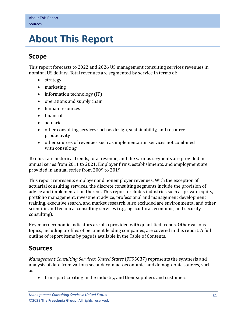# <span id="page-3-0"></span>**5. About This Report**

# <span id="page-3-1"></span>**Scope**

This report forecasts to 2022 and 2026 US management consulting services revenues in nominal US dollars. Total revenues are segmented by service in terms of:

- strategy
- marketing
- information technology (IT)
- operations and supply chain
- human resources
- financial
- actuarial
- other consulting services such as design, sustainability, and resource productivity
- other sources of revenues such as implementation services not combined with consulting

To illustrate historical trends, total revenue, and the various segments are provided in annual series from 2011 to 2021. Employer firms, establishments, and employment are provided in annual series from 2009 to 2019.

This report represents employer and nonemployer revenues. With the exception of actuarial consulting services, the discrete consulting segments include the provision of advice and implementation thereof. This report excludes industries such as private equity, portfolio management, investment advice, professional and management development training, executive search, and market research. Also excluded are environmental and other scientific and technical consulting services (e.g., agricultural, economic, and security consulting).

Key macroeconomic indicators are also provided with quantified trends. Other various topics, including profiles of pertinent leading companies, are covered in this report. A full outline of report items by page is available in the Table of Contents.

# <span id="page-3-2"></span>**Sources**

*Management Consulting Services: United States* (FF95037) represents the synthesis and analysis of data from various secondary, macroeconomic, and demographic sources, such as:

• firms participating in the industry, and their suppliers and customers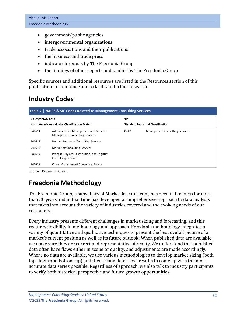- government/public agencies
- intergovernmental organizations
- trade associations and their publications
- the business and trade press
- indicator forecasts by The Freedonia Group
- the findings of other reports and studies by The Freedonia Group

Specific sources and additional resources are listed in the Resources section of this publication for reference and to facilitate further research.

# <span id="page-4-0"></span>**Industry Codes**

<span id="page-4-2"></span>

| Table 7   NAICS & SIC Codes Related to Management Consulting Services    |                                                                                |                                           |                                       |  |  |
|--------------------------------------------------------------------------|--------------------------------------------------------------------------------|-------------------------------------------|---------------------------------------|--|--|
| <b>NAICS/SCIAN 2017</b><br>North American Industry Classification System |                                                                                | <b>SIC</b>                                |                                       |  |  |
|                                                                          |                                                                                | <b>Standard Industrial Classification</b> |                                       |  |  |
| 541611                                                                   | Administrative Management and General<br><b>Management Consulting Services</b> | 8742                                      | <b>Management Consulting Services</b> |  |  |
| 541612                                                                   | Human Resources Consulting Services                                            |                                           |                                       |  |  |
| 541613                                                                   | <b>Marketing Consulting Services</b>                                           |                                           |                                       |  |  |
| 541614                                                                   | Process, Physical Distribution, and Logistics<br><b>Consulting Services</b>    |                                           |                                       |  |  |
| 541618                                                                   | <b>Other Management Consulting Services</b>                                    |                                           |                                       |  |  |

Source: US Census Bureau

# <span id="page-4-1"></span>**Freedonia Methodology**

The Freedonia Group, a subsidiary of MarketResearch.com, has been in business for more than 30 years and in that time has developed a comprehensive approach to data analysis that takes into account the variety of industries covered and the evolving needs of our customers.

Every industry presents different challenges in market sizing and forecasting, and this requires flexibility in methodology and approach. Freedonia methodology integrates a variety of quantitative and qualitative techniques to present the best overall picture of a market's current position as well as its future outlook: When published data are available, we make sure they are correct and representative of reality. We understand that published data often have flaws either in scope or quality, and adjustments are made accordingly. Where no data are available, we use various methodologies to develop market sizing (both top-down and bottom-up) and then triangulate those results to come up with the most accurate data series possible. Regardless of approach, we also talk to industry participants to verify both historical perspective and future growth opportunities.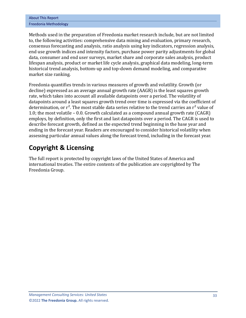| <b>About This Report</b> |
|--------------------------|
| Freedonia Methodology    |

Methods used in the preparation of Freedonia market research include, but are not limited to, the following activities: comprehensive data mining and evaluation, primary research, consensus forecasting and analysis, ratio analysis using key indicators, regression analysis, end use growth indices and intensity factors, purchase power parity adjustments for global data, consumer and end user surveys, market share and corporate sales analysis, product lifespan analysis, product or market life cycle analysis, graphical data modeling, long-term historical trend analysis, bottom-up and top-down demand modeling, and comparative market size ranking.

Freedonia quantifies trends in various measures of growth and volatility. Growth (or decline) expressed as an average annual growth rate (AAGR) is the least squares growth rate, which takes into account all available datapoints over a period. The volatility of datapoints around a least squares growth trend over time is expressed via the coefficient of determination, or  $r^2$ . The most stable data series relative to the trend carries an  $r^2$  value of 1.0; the most volatile – 0.0. Growth calculated as a compound annual growth rate (CAGR) employs, by definition, only the first and last datapoints over a period. The CAGR is used to describe forecast growth, defined as the expected trend beginning in the base year and ending in the forecast year. Readers are encouraged to consider historical volatility when assessing particular annual values along the forecast trend, including in the forecast year.

# **Copyright & Licensing**

The full report is protected by copyright laws of the United States of America and international treaties. The entire contents of the publication are copyrighted by The Freedonia Group.